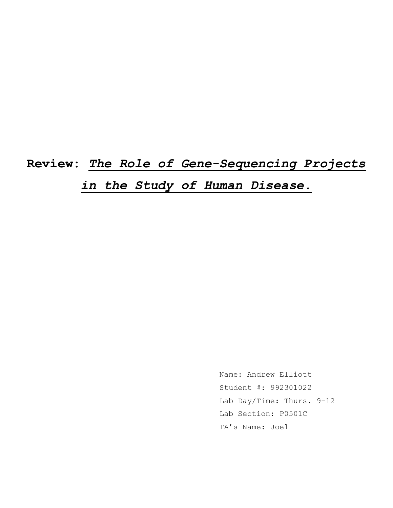**Review:** *The Role of Gene-Sequencing Projects in the Study of Human Disease.*

> Name: Andrew Elliott Student #: 992301022 Lab Day/Time: Thurs. 9-12 Lab Section: P0501C TA's Name: Joel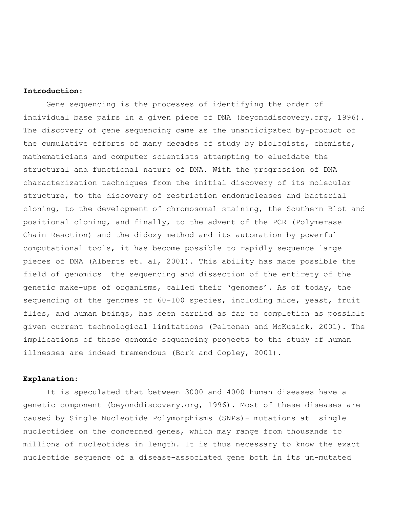## **Introduction:**

Gene sequencing is the processes of identifying the order of individual base pairs in a given piece of DNA (beyonddiscovery.org, 1996). The discovery of gene sequencing came as the unanticipated by-product of the cumulative efforts of many decades of study by biologists, chemists, mathematicians and computer scientists attempting to elucidate the structural and functional nature of DNA. With the progression of DNA characterization techniques from the initial discovery of its molecular structure, to the discovery of restriction endonucleases and bacterial cloning, to the development of chromosomal staining, the Southern Blot and positional cloning, and finally, to the advent of the PCR (Polymerase Chain Reaction) and the didoxy method and its automation by powerful computational tools, it has become possible to rapidly sequence large pieces of DNA (Alberts et. al, 2001). This ability has made possible the field of genomics— the sequencing and dissection of the entirety of the genetic make-ups of organisms, called their 'genomes'. As of today, the sequencing of the genomes of 60-100 species, including mice, yeast, fruit flies, and human beings, has been carried as far to completion as possible given current technological limitations (Peltonen and McKusick, 2001). The implications of these genomic sequencing projects to the study of human illnesses are indeed tremendous (Bork and Copley, 2001).

## **Explanation:**

It is speculated that between 3000 and 4000 human diseases have a genetic component (beyonddiscovery.org, 1996). Most of these diseases are caused by Single Nucleotide Polymorphisms (SNPs)- mutations at single nucleotides on the concerned genes, which may range from thousands to millions of nucleotides in length. It is thus necessary to know the exact nucleotide sequence of a disease-associated gene both in its un-mutated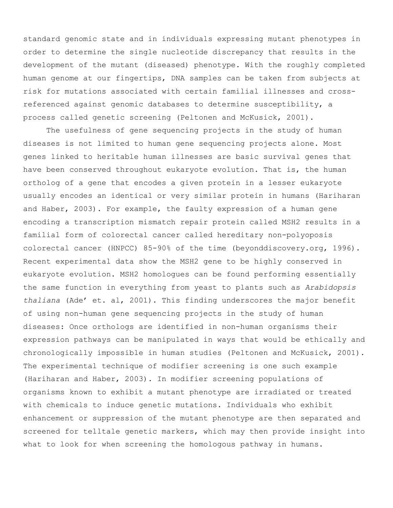standard genomic state and in individuals expressing mutant phenotypes in order to determine the single nucleotide discrepancy that results in the development of the mutant (diseased) phenotype. With the roughly completed human genome at our fingertips, DNA samples can be taken from subjects at risk for mutations associated with certain familial illnesses and crossreferenced against genomic databases to determine susceptibility, a process called genetic screening (Peltonen and McKusick, 2001).

The usefulness of gene sequencing projects in the study of human diseases is not limited to human gene sequencing projects alone. Most genes linked to heritable human illnesses are basic survival genes that have been conserved throughout eukaryote evolution. That is, the human ortholog of a gene that encodes a given protein in a lesser eukaryote usually encodes an identical or very similar protein in humans (Hariharan and Haber, 2003). For example, the faulty expression of a human gene encoding a transcription mismatch repair protein called MSH2 results in a familial form of colorectal cancer called hereditary non-polyoposis colorectal cancer (HNPCC) 85-90% of the time (beyonddiscovery.org, 1996). Recent experimental data show the MSH2 gene to be highly conserved in eukaryote evolution. MSH2 homologues can be found performing essentially the same function in everything from yeast to plants such as *Arabidopsis thaliana* (Ade' et. al, 2001). This finding underscores the major benefit of using non-human gene sequencing projects in the study of human diseases: Once orthologs are identified in non-human organisms their expression pathways can be manipulated in ways that would be ethically and chronologically impossible in human studies (Peltonen and McKusick, 2001). The experimental technique of modifier screening is one such example (Hariharan and Haber, 2003). In modifier screening populations of organisms known to exhibit a mutant phenotype are irradiated or treated with chemicals to induce genetic mutations. Individuals who exhibit enhancement or suppression of the mutant phenotype are then separated and screened for telltale genetic markers, which may then provide insight into what to look for when screening the homologous pathway in humans.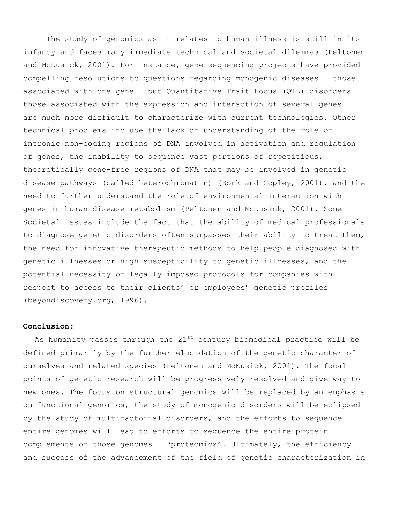The study of genomics as it relates to human illness is still in its infancy and faces many immediate technical and societal dilemmas (Peltonen and McKusick, 2001). For instance, gene sequencing projects have provided compelling resolutions to questions regarding monogenic diseases – those associated with one gene – but Quantitative Trait Locus (QTL) disorders – those associated with the expression and interaction of several genes – are much more difficult to characterize with current technologies. Other technical problems include the lack of understanding of the role of intronic non-coding regions of DNA involved in activation and regulation of genes, the inability to sequence vast portions of repetitious, theoretically gene-free regions of DNA that may be involved in genetic disease pathways (called heterochromatin) (Bork and Copley, 2001), and the need to further understand the role of environmental interaction with genes in human disease metabolism (Peltonen and McKusick, 2001). Some Societal issues include the fact that the ability of medical professionals to diagnose genetic disorders often surpasses their ability to treat them, the need for innovative therapeutic methods to help people diagnosed with genetic illnesses or high susceptibility to genetic illnesses, and the potential necessity of legally imposed protocols for companies with respect to access to their clients' or employees' genetic profiles (beyondiscovery.org, 1996).

## **Conclusion:**

As humanity passes through the  $21^{st}$  century biomedical practice will be defined primarily by the further elucidation of the genetic character of ourselves and related species (Peltonen and McKusick, 2001). The focal points of genetic research will be progressively resolved and give way to new ones. The focus on structural genomics will be replaced by an emphasis on functional genomics, the study of monogenic disorders will be eclipsed by the study of multifactorial disorders, and the efforts to sequence entire genomes will lead to efforts to sequence the entire protein complements of those genomes – 'proteomics'. Ultimately, the efficiency and success of the advancement of the field of genetic characterization in